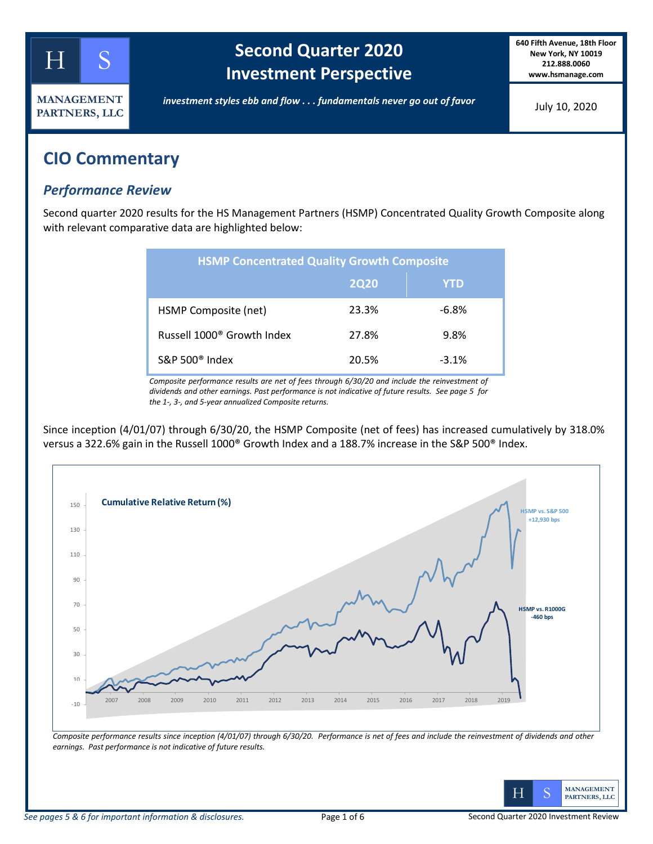

# **Second Quarter 2020 Investment Perspective**

**640 Fifth Avenue, 18th Floor New York, NY 10019 212.888.0060 www.hsmanage.com**

*investment styles ebb and flow . . . fundamentals never go out of favor*

July 10, 2020

# **CIO Commentary**

### *Performance Review*

Second quarter 2020 results for the HS Management Partners (HSMP) Concentrated Quality Growth Composite along with relevant comparative data are highlighted below:

| <b>HSMP Concentrated Quality Growth Composite</b> |       |          |  |  |  |
|---------------------------------------------------|-------|----------|--|--|--|
|                                                   | 2020  | YTD      |  |  |  |
| HSMP Composite (net)                              | 23.3% | $-6.8%$  |  |  |  |
| Russell 1000 <sup>®</sup> Growth Index            | 27.8% | 9.8%     |  |  |  |
| S&P 500 $^{\circ}$ Index                          | 20.5% | $-3.1\%$ |  |  |  |

*Composite performance results are net of fees through 6/30/20 and include the reinvestment of dividends and other earnings. Past performance is not indicative of future results. See page 5 for the 1-, 3-, and 5-year annualized Composite returns.*

Since inception (4/01/07) through 6/30/20, the HSMP Composite (net of fees) has increased cumulatively by 318.0% versus a 322.6% gain in the Russell 1000® Growth Index and a 188.7% increase in the S&P 500® Index.



*Composite performance results since inception (4/01/07) through 6/30/20. Performance is net of fees and include the reinvestment of dividends and other earnings. Past performance is not indicative of future results.* 

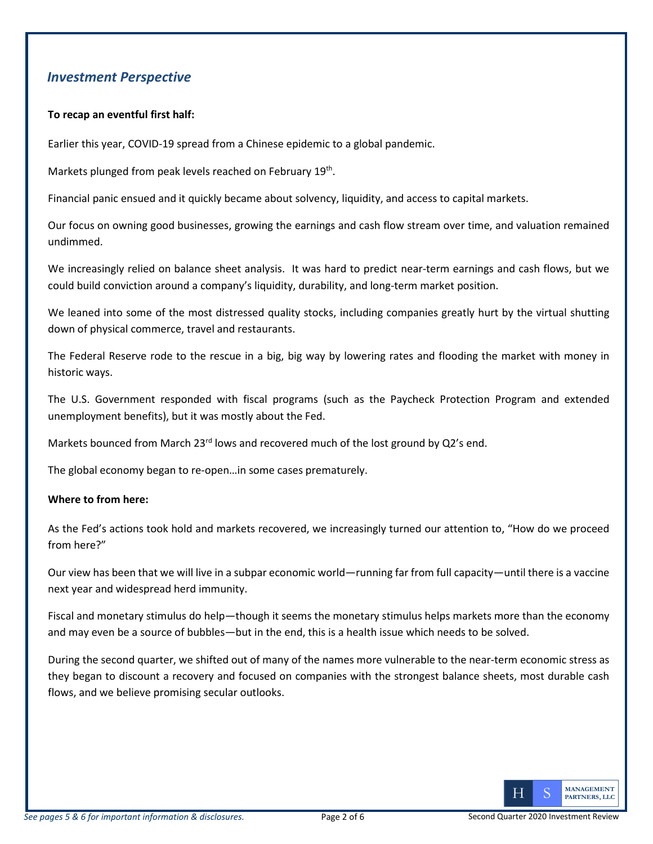### *Investment Perspective*

### **To recap an eventful first half:**

Earlier this year, COVID-19 spread from a Chinese epidemic to a global pandemic.

Markets plunged from peak levels reached on February 19<sup>th</sup>.

Financial panic ensued and it quickly became about solvency, liquidity, and access to capital markets.

Our focus on owning good businesses, growing the earnings and cash flow stream over time, and valuation remained undimmed.

We increasingly relied on balance sheet analysis. It was hard to predict near-term earnings and cash flows, but we could build conviction around a company's liquidity, durability, and long-term market position.

We leaned into some of the most distressed quality stocks, including companies greatly hurt by the virtual shutting down of physical commerce, travel and restaurants.

The Federal Reserve rode to the rescue in a big, big way by lowering rates and flooding the market with money in historic ways.

The U.S. Government responded with fiscal programs (such as the Paycheck Protection Program and extended unemployment benefits), but it was mostly about the Fed.

Markets bounced from March 23 $^{rd}$  lows and recovered much of the lost ground by Q2's end.

The global economy began to re-open…in some cases prematurely.

#### **Where to from here:**

As the Fed's actions took hold and markets recovered, we increasingly turned our attention to, "How do we proceed from here?"

Our view has been that we will live in a subpar economic world—running far from full capacity—until there is a vaccine next year and widespread herd immunity.

Fiscal and monetary stimulus do help—though it seems the monetary stimulus helps markets more than the economy and may even be a source of bubbles—but in the end, this is a health issue which needs to be solved.

During the second quarter, we shifted out of many of the names more vulnerable to the near-term economic stress as they began to discount a recovery and focused on companies with the strongest balance sheets, most durable cash flows, and we believe promising secular outlooks.

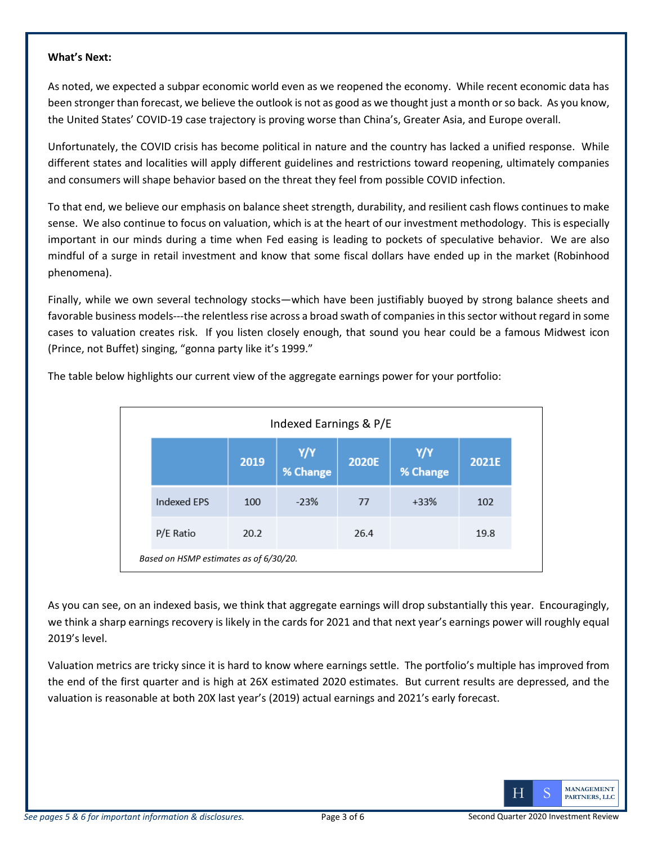### **What's Next:**

As noted, we expected a subpar economic world even as we reopened the economy. While recent economic data has been stronger than forecast, we believe the outlook is not as good as we thought just a month or so back. As you know, the United States' COVID-19 case trajectory is proving worse than China's, Greater Asia, and Europe overall.

Unfortunately, the COVID crisis has become political in nature and the country has lacked a unified response. While different states and localities will apply different guidelines and restrictions toward reopening, ultimately companies and consumers will shape behavior based on the threat they feel from possible COVID infection.

To that end, we believe our emphasis on balance sheet strength, durability, and resilient cash flows continues to make sense. We also continue to focus on valuation, which is at the heart of our investment methodology. This is especially important in our minds during a time when Fed easing is leading to pockets of speculative behavior. We are also mindful of a surge in retail investment and know that some fiscal dollars have ended up in the market (Robinhood phenomena).

Finally, while we own several technology stocks—which have been justifiably buoyed by strong balance sheets and favorable business models---the relentless rise across a broad swath of companies in this sector without regard in some cases to valuation creates risk. If you listen closely enough, that sound you hear could be a famous Midwest icon (Prince, not Buffet) singing, "gonna party like it's 1999."

| Indexed Earnings & P/E                 |      |                |       |                |       |
|----------------------------------------|------|----------------|-------|----------------|-------|
|                                        | 2019 | $Y/Y$ % Change | 2020E | $Y/Y$ % Change | 2021E |
| Indexed EPS                            | 100  | $-23%$         | 77    | $+33%$         | 102   |
| P/E Ratio                              | 20.2 |                | 26.4  |                | 19.8  |
| Based on HSMP estimates as of 6/30/20. |      |                |       |                |       |

The table below highlights our current view of the aggregate earnings power for your portfolio:

As you can see, on an indexed basis, we think that aggregate earnings will drop substantially this year. Encouragingly, we think a sharp earnings recovery is likely in the cards for 2021 and that next year's earnings power will roughly equal 2019's level.

Valuation metrics are tricky since it is hard to know where earnings settle. The portfolio's multiple has improved from the end of the first quarter and is high at 26X estimated 2020 estimates. But current results are depressed, and the valuation is reasonable at both 20X last year's (2019) actual earnings and 2021's early forecast.

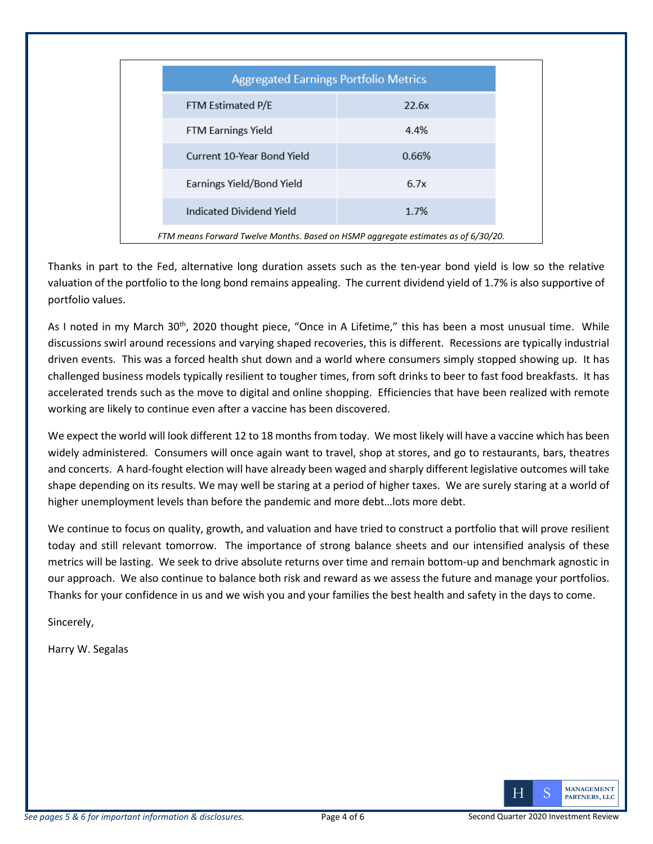| <b>Aggregated Earnings Portfolio Metrics</b>                                      |       |  |  |
|-----------------------------------------------------------------------------------|-------|--|--|
| FTM Estimated P/E                                                                 | 22.6x |  |  |
| <b>FTM Earnings Yield</b>                                                         | 4.4%  |  |  |
| Current 10-Year Bond Yield                                                        | 0.66% |  |  |
| Earnings Yield/Bond Yield                                                         | 6.7x  |  |  |
| Indicated Dividend Yield                                                          | 1.7%  |  |  |
| FTM means Forward Twelve Months. Based on HSMP aggregate estimates as of 6/30/20. |       |  |  |

Thanks in part to the Fed, alternative long duration assets such as the ten-year bond yield is low so the relative valuation of the portfolio to the long bond remains appealing. The current dividend yield of 1.7% is also supportive of portfolio values.

As I noted in my March 30<sup>th</sup>, 2020 thought piece, "Once in A Lifetime," this has been a most unusual time. While discussions swirl around recessions and varying shaped recoveries, this is different. Recessions are typically industrial driven events. This was a forced health shut down and a world where consumers simply stopped showing up. It has challenged business models typically resilient to tougher times, from soft drinks to beer to fast food breakfasts. It has accelerated trends such as the move to digital and online shopping. Efficiencies that have been realized with remote working are likely to continue even after a vaccine has been discovered.

We expect the world will look different 12 to 18 months from today. We most likely will have a vaccine which has been widely administered. Consumers will once again want to travel, shop at stores, and go to restaurants, bars, theatres and concerts. A hard-fought election will have already been waged and sharply different legislative outcomes will take shape depending on its results. We may well be staring at a period of higher taxes. We are surely staring at a world of higher unemployment levels than before the pandemic and more debt…lots more debt.

We continue to focus on quality, growth, and valuation and have tried to construct a portfolio that will prove resilient today and still relevant tomorrow. The importance of strong balance sheets and our intensified analysis of these metrics will be lasting. We seek to drive absolute returns over time and remain bottom-up and benchmark agnostic in our approach. We also continue to balance both risk and reward as we assess the future and manage your portfolios. Thanks for your confidence in us and we wish you and your families the best health and safety in the days to come.

Sincerely,

Harry W. Segalas

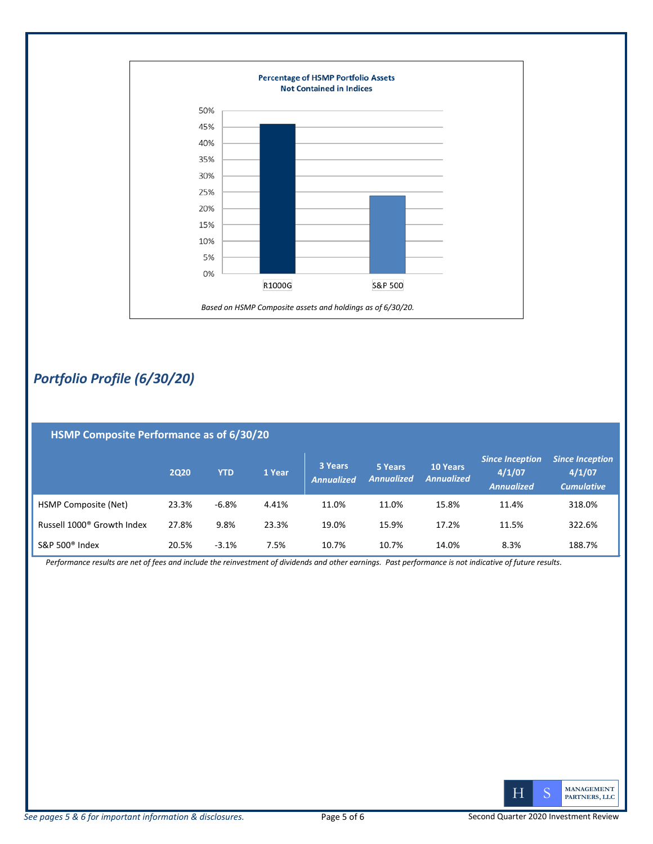

## *Portfolio Profile (6/30/20)*

| HSMP Composite Performance as of 6/30/20 |       |            |        |                              |                              |                                      |                                                       |                                                       |
|------------------------------------------|-------|------------|--------|------------------------------|------------------------------|--------------------------------------|-------------------------------------------------------|-------------------------------------------------------|
|                                          | 2020  | <b>YTD</b> | 1 Year | 3 Years<br><b>Annualized</b> | 5 Years<br><b>Annualized</b> | <b>10 Years</b><br><b>Annualized</b> | <b>Since Inception</b><br>4/1/07<br><b>Annualized</b> | <b>Since Inception</b><br>4/1/07<br><b>Cumulative</b> |
| <b>HSMP Composite (Net)</b>              | 23.3% | $-6.8%$    | 4.41%  | 11.0%                        | 11.0%                        | 15.8%                                | 11.4%                                                 | 318.0%                                                |
| Russell 1000 <sup>®</sup> Growth Index   | 27.8% | 9.8%       | 23.3%  | 19.0%                        | 15.9%                        | 17.2%                                | 11.5%                                                 | 322.6%                                                |
| S&P 500 <sup>®</sup> Index               | 20.5% | $-3.1%$    | 7.5%   | 10.7%                        | 10.7%                        | 14.0%                                | 8.3%                                                  | 188.7%                                                |

*Performance results are net of fees and include the reinvestment of dividends and other earnings. Past performance is not indicative of future results.*